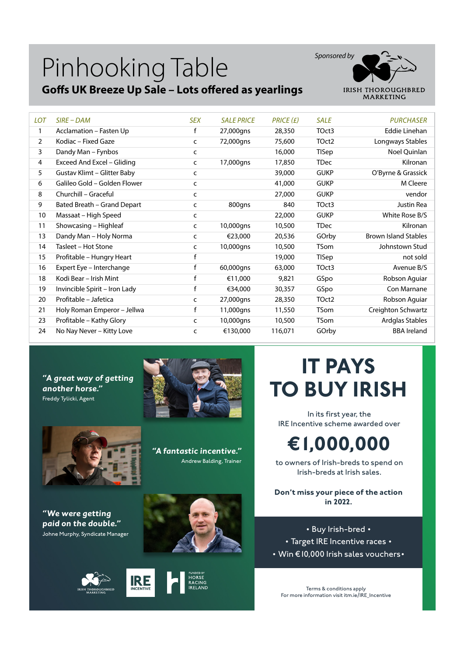### Pinhooking Table

#### **Goffs UK Breeze Up Sale – Lots offered as yearlings**



| <b>LOT</b> | $SIRE-DAM$                    | <b>SEX</b>   | <b>SALE PRICE</b> | PRICE(E) | <b>SALE</b>       | <b>PURCHASER</b>            |
|------------|-------------------------------|--------------|-------------------|----------|-------------------|-----------------------------|
| 1          | Acclamation - Fasten Up       | f            | 27,000gns         | 28,350   | TOct3             | Eddie Linehan               |
| 2          | Kodiac – Fixed Gaze           | C            | 72,000gns         | 75,600   | TOct2             | Longways Stables            |
| 3          | Dandy Man - Fynbos            | C            |                   | 16,000   | TISep             | Noel Quinlan                |
| 4          | Exceed And Excel - Gliding    | C            | 17,000gns         | 17,850   | <b>TDec</b>       | Kilronan                    |
| 5          | Gustav Klimt - Glitter Baby   | C            |                   | 39,000   | <b>GUKP</b>       | O'Byrne & Grassick          |
| 6          | Galileo Gold - Golden Flower  | c            |                   | 41,000   | <b>GUKP</b>       | M Cleere                    |
| 8          | Churchill - Graceful          | C            |                   | 27,000   | <b>GUKP</b>       | vendor                      |
| 9          | Bated Breath - Grand Depart   | C            | 800gns            | 840      | TOct3             | Justin Rea                  |
| 10         | Massaat - High Speed          | c            |                   | 22,000   | <b>GUKP</b>       | White Rose B/S              |
| 11         | Showcasing - Highleaf         | C            | 10,000gns         | 10,500   | <b>TDec</b>       | Kilronan                    |
| 13         | Dandy Man - Holy Norma        | $\mathsf{C}$ | €23,000           | 20,536   | GOrby             | <b>Brown Island Stables</b> |
| 14         | Tasleet - Hot Stone           | C            | 10,000gns         | 10,500   | <b>TSom</b>       | Johnstown Stud              |
| 15         | Profitable - Hungry Heart     | f            |                   | 19,000   | TISep             | not sold                    |
| 16         | Expert Eye - Interchange      |              | 60,000gns         | 63,000   | TOct3             | Avenue B/S                  |
| 18         | Kodi Bear - Irish Mint        | f            | €11,000           | 9,821    | GSpo              | Robson Aguiar               |
| 19         | Invincible Spirit - Iron Lady | $\mathsf{f}$ | €34,000           | 30,357   | GSpo              | Con Marnane                 |
| 20         | Profitable - Jafetica         | $\mathsf{C}$ | 27,000gns         | 28,350   | TOct <sub>2</sub> | Robson Aguiar               |
| 21         | Holy Roman Emperor - Jellwa   | f            | 11,000gns         | 11,550   | <b>TSom</b>       | Creighton Schwartz          |
| 23         | Profitable - Kathy Glory      | C            | 10,000gns         | 10,500   | <b>TSom</b>       | Ardglas Stables             |
| 24         | No Nay Never - Kitty Love     | C            | €130,000          | 116,071  | GOrby             | <b>BBA</b> Ireland          |

*"A great way of getting another horse."* Freddy Tylicki, Agent





*"A fantastic incentive."* Andrew Balding, Trainer

### **IT PAYS TO BUY IRISH**

In its first year, the IRE Incentive scheme awarded over

**€1,000,000**

to owners of Irish-breds to spend on Irish-breds at Irish sales.

**Don't miss your piece of the action in 2022.**

• Buy Irish-bred • • Target IRE Incentive races • • Win €10,000 Irish sales vouchers•

Terms & conditions apply For more information visit itm.ie/IRE\_Incentive







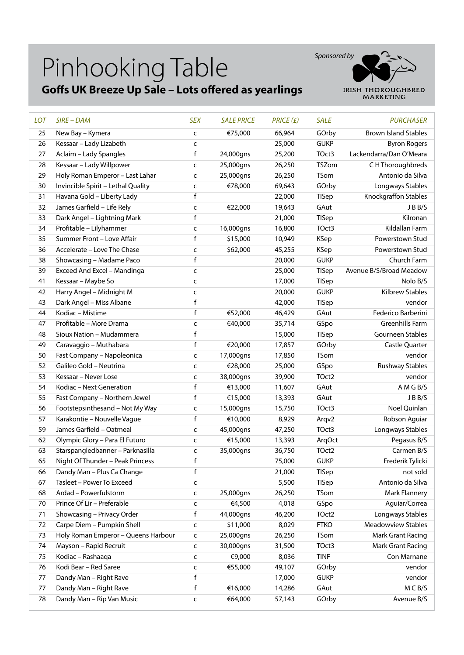# Pinhooking Table

#### **Goffs UK Breeze Up Sale – Lots offered as yearlings**



| <b>LOT</b> | $SIRE$ – $DAM$                      | <b>SEX</b>   | <b>SALE PRICE</b> | PRICE(E) | <b>SALE</b>  | <b>PURCHASER</b>            |
|------------|-------------------------------------|--------------|-------------------|----------|--------------|-----------------------------|
| 25         | New Bay - Kymera                    | C            | €75,000           | 66,964   | GOrby        | <b>Brown Island Stables</b> |
| 26         | Kessaar - Lady Lizabeth             | $\mathsf{C}$ |                   | 25,000   | <b>GUKP</b>  | <b>Byron Rogers</b>         |
| 27         | Aclaim - Lady Spangles              | f            | 24,000gns         | 25,200   | TOct3        | Lackendarra/Dan O'Meara     |
| 28         | Kessaar - Lady Willpower            | C            | 25,000gns         | 26,250   | TSZom        | C H Thoroughbreds           |
| 29         | Holy Roman Emperor - Last Lahar     | C            | 25,000gns         | 26,250   | TSom         | Antonio da Silva            |
| 30         | Invincible Spirit - Lethal Quality  | C            | €78,000           | 69,643   | GOrby        | Longways Stables            |
| 31         | Havana Gold - Liberty Lady          | f            |                   | 22,000   | <b>TISep</b> | Knockgraffon Stables        |
| 32         | James Garfield - Life Rely          | C            | €22,000           | 19,643   | GAut         | JBB/S                       |
| 33         | Dark Angel - Lightning Mark         | f            |                   | 21,000   | <b>TISep</b> | Kilronan                    |
| 34         | Profitable - Lilyhammer             | C            | 16,000gns         | 16,800   | TOct3        | Kildallan Farm              |
| 35         | Summer Front - Love Affair          | f            | \$15,000          | 10,949   | KSep         | Powerstown Stud             |
| 36         | Accelerate - Love The Chase         | C            | \$62,000          | 45,255   | KSep         | Powerstown Stud             |
| 38         | Showcasing - Madame Paco            | f            |                   | 20,000   | <b>GUKP</b>  | Church Farm                 |
| 39         | Exceed And Excel - Mandinga         | C            |                   | 25,000   | TISep        | Avenue B/S/Broad Meadow     |
| 41         | Kessaar - Maybe So                  | C            |                   | 17,000   | <b>TISep</b> | Nolo B/S                    |
| 42         | Harry Angel - Midnight M            | $\mathsf{C}$ |                   | 20,000   | <b>GUKP</b>  | <b>Kilbrew Stables</b>      |
| 43         | Dark Angel - Miss Albane            | f            |                   | 42,000   | <b>TISep</b> | vendor                      |
| 44         | Kodiac - Mistime                    | f            | €52,000           | 46,429   | GAut         | Federico Barberini          |
| 47         | Profitable - More Drama             | C            | €40,000           | 35,714   | GSpo         | Greenhills Farm             |
| 48         | Sioux Nation - Mudammera            | $\mathsf f$  |                   | 15,000   | <b>TISep</b> | Gourneen Stables            |
| 49         | Caravaggio - Muthabara              | f            | €20,000           | 17,857   | GOrby        | Castle Quarter              |
| 50         | Fast Company - Napoleonica          | C            | 17,000gns         | 17,850   | TSom         | vendor                      |
| 52         | Galileo Gold - Neutrina             | C            | €28,000           | 25,000   | GSpo         | <b>Rushway Stables</b>      |
| 53         | Kessaar - Never Lose                | $\mathsf{C}$ | 38,000gns         | 39,900   | TOct2        | vendor                      |
| 54         | Kodiac - Next Generation            | f            | €13,000           | 11,607   | GAut         | A M G B/S                   |
| 55         | Fast Company - Northern Jewel       | f            | €15,000           | 13,393   | GAut         | JBB/S                       |
| 56         | Footstepsinthesand - Not My Way     | C            | 15,000gns         | 15,750   | TOct3        | Noel Quinlan                |
| 57         | Karakontie - Nouvelle Vague         | f            | €10,000           | 8,929    | Arqv2        | Robson Aguiar               |
| 59         | James Garfield - Oatmeal            | C            | 45,000gns         | 47,250   | TOct3        | Longways Stables            |
| 62         | Olympic Glory - Para El Futuro      | $\mathsf{C}$ | €15,000           | 13,393   | ArqOct       | Pegasus B/S                 |
| 63         | Starspangledbanner - Parknasilla    | C            | 35,000gns         | 36,750   | TOct2        | Carmen B/S                  |
| 65         | Night Of Thunder - Peak Princess    | $\mathsf f$  |                   | 75,000   | <b>GUKP</b>  | Frederik Tylicki            |
| 66         | Dandy Man - Plus Ca Change          | f            |                   | 21,000   | TISep        | not sold                    |
| 67         | Tasleet - Power To Exceed           | $\mathsf{C}$ |                   | 5,500    | TISep        | Antonio da Silva            |
| 68         | Ardad - Powerfulstorm               | $\mathsf{C}$ | 25,000gns         | 26,250   | TSom         | <b>Mark Flannery</b>        |
| 70         | Prince Of Lir - Preferable          | C            | €4,500            | 4,018    | GSpo         | Aguiar/Correa               |
| 71         | Showcasing - Privacy Order          | f            | 44,000gns         | 46,200   | TOct2        | Longways Stables            |
| 72         | Carpe Diem - Pumpkin Shell          | C            | \$11,000          | 8,029    | <b>FTKO</b>  | <b>Meadowview Stables</b>   |
| 73         | Holy Roman Emperor - Queens Harbour | C            | 25,000gns         | 26,250   | <b>TSom</b>  | <b>Mark Grant Racing</b>    |
| 74         | Mayson - Rapid Recruit              | C            | 30,000gns         | 31,500   | TOct3        | Mark Grant Racing           |
| 75         | Kodiac - Rashaaqa                   | $\mathsf{C}$ | €9,000            | 8,036    | <b>TINF</b>  | Con Marnane                 |
| 76         | Kodi Bear - Red Saree               | $\mathsf{C}$ | €55,000           | 49,107   | GOrby        | vendor                      |
| 77         | Dandy Man - Right Rave              | f            |                   | 17,000   | <b>GUKP</b>  | vendor                      |
| $77 \,$    | Dandy Man - Right Rave              | f            | €16,000           | 14,286   | GAut         | MCB/S                       |
| 78         | Dandy Man - Rip Van Music           | C            | €64,000           | 57,143   | GOrby        | Avenue B/S                  |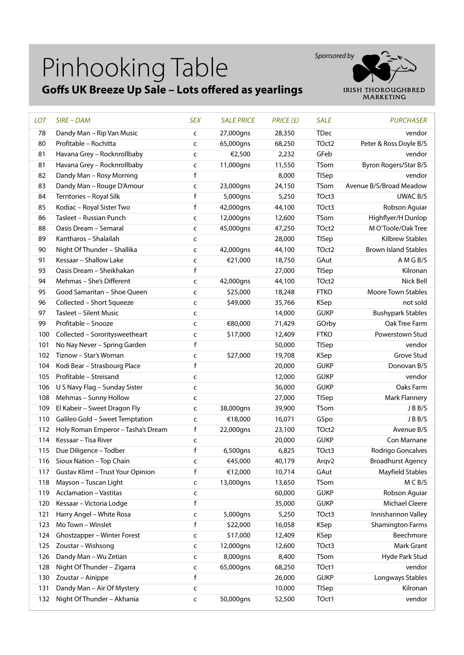## Pinhooking Table

#### **Goffs UK Breeze Up Sale – Lots offered as yearlings**



| <b>LOT</b> | $SIRE$ – $DAM$                           | <b>SEX</b>   | <b>SALE PRICE</b> | PRICE(E) | <b>SALE</b> | <b>PURCHASER</b>            |
|------------|------------------------------------------|--------------|-------------------|----------|-------------|-----------------------------|
| 78         | Dandy Man - Rip Van Music                | C            | 27,000gns         | 28,350   | <b>TDec</b> | vendor                      |
| 80         | Profitable - Rochitta                    | c            | 65,000gns         | 68,250   | TOct2       | Peter & Ross Doyle B/S      |
| 81         | Havana Grey - Rocknrollbaby              | C            | €2,500            | 2,232    | GFeb        | vendor                      |
| 81         | Havana Grey - Rocknrollbaby              | C            | 11,000gns         | 11,550   | TSom        | Byron Rogers/Star B/S       |
| 82         | Dandy Man - Rosy Morning                 | f            |                   | 8,000    | TISep       | vendor                      |
| 83         | Dandy Man - Rouge D'Amour                | C            | 23,000gns         | 24,150   | TSom        | Avenue B/S/Broad Meadow     |
| 84         | Territories - Royal Silk                 | f            | 5,000gns          | 5,250    | TOct3       | <b>UWAC B/S</b>             |
| 85         | Kodiac - Royal Sister Two                | f            | 42,000gns         | 44,100   | TOct3       | Robson Aguiar               |
| 86         | Tasleet - Russian Punch                  | C            | 12,000gns         | 12,600   | TSom        | Highflyer/H Dunlop          |
| 88         | Oasis Dream - Semaral                    | C            | 45,000gns         | 47,250   | TOct2       | M O'Toole/Oak Tree          |
| 89         | Kantharos - Shalailah                    | C            |                   | 28,000   | TISep       | Kilbrew Stables             |
| 90         | Night Of Thunder - Shallika              | c            | 42,000gns         | 44,100   | TOct2       | <b>Brown Island Stables</b> |
| 91         | Kessaar - Shallow Lake                   | C            | €21,000           | 18,750   | GAut        | A M G B/S                   |
| 93         | Oasis Dream - Sheikhakan                 | f            |                   | 27,000   | TISep       | Kilronan                    |
| 94         | Mehmas - She's Different                 | C            | 42,000gns         | 44,100   | TOct2       | Nick Bell                   |
| 95         | Good Samaritan - Shoe Queen              | C            | \$25,000          | 18,248   | <b>FTKO</b> | <b>Moore Town Stables</b>   |
| 96         | Collected - Short Squeeze                | C            | \$49,000          | 35,766   | <b>KSep</b> | not sold                    |
| 97         | Tasleet - Silent Music                   | C            |                   | 14,000   | <b>GUKP</b> | <b>Bushypark Stables</b>    |
| 99         | Profitable - Snooze                      | C            | €80,000           | 71,429   | GOrby       | Oak Tree Farm               |
| 100        | Collected - Sororitysweetheart           | C            | \$17,000          | 12,409   | <b>FTKO</b> | Powerstown Stud             |
| 101        | No Nay Never - Spring Garden             | $\mathsf f$  |                   | 50,000   | TISep       | vendor                      |
| 102        | Tiznow - Star's Woman                    | C            | \$27,000          | 19,708   | <b>KSep</b> | Grove Stud                  |
| 104        | Kodi Bear - Strasbourg Place             | $\mathsf f$  |                   | 20,000   | <b>GUKP</b> | Donovan B/S                 |
| 105        | Profitable - Streisand                   | C            |                   | 12,000   | <b>GUKP</b> | vendor                      |
| 106        | U S Navy Flag - Sunday Sister            | C            |                   | 36,000   | <b>GUKP</b> | Oaks Farm                   |
| 108        | Mehmas - Sunny Hollow                    | C            |                   | 27,000   | TISep       | Mark Flannery               |
| 109        | El Kabeir - Sweet Dragon Fly             | C            | 38,000gns         | 39,900   | TSom        | JBB/S                       |
| 110        | Galileo Gold - Sweet Temptation          | c            | €18,000           | 16,071   | GSpo        | JBB/S                       |
| 112        | Holy Roman Emperor - Tasha's Dream       | f            | 22,000gns         | 23,100   | TOct2       | Avenue B/S                  |
| 114        | Kessaar - Tisa River                     | c            |                   | 20,000   | <b>GUKP</b> | Con Marnane                 |
|            | 115 Due Diligence - Todber               | f            | 6,500gns          | 6,825    | TOct3       | Rodrigo Goncalves           |
|            | 116 Sioux Nation - Top Chain             | c            | €45,000           | 40,179   | Arqv2       | <b>Broadhurst Agency</b>    |
| 117        | <b>Gustav Klimt - Trust Your Opinion</b> | f            | €12,000           | 10,714   | GAut        | <b>Mayfield Stables</b>     |
| 118        | Mayson - Tuscan Light                    | C            | 13,000gns         | 13,650   | TSom        | M C B/S                     |
| 119        | <b>Acclamation - Vastitas</b>            | c            |                   | 60,000   | <b>GUKP</b> | Robson Aguiar               |
| 120        | Kessaar - Victoria Lodge                 | f            |                   | 35,000   | <b>GUKP</b> | Michael Cleere              |
| 121        | Harry Angel - White Rosa                 | C            | 5,000gns          | 5,250    | TOct3       | Innishannon Valley          |
| 123        | Mo Town - Winslet                        | f            | \$22,000          | 16,058   | KSep        | <b>Shamington Farms</b>     |
| 124        | Ghostzapper - Winter Forest              | C            | \$17,000          | 12,409   | <b>KSep</b> | Beechmore                   |
| 125        | Zoustar - Wishsong                       | $\mathsf{C}$ | 12,000gns         | 12,600   | TOct3       | Mark Grant                  |
| 126        | Dandy Man - Wu Zetian                    | C            | 8,000gns          | 8,400    | TSom        | Hyde Park Stud              |
| 128        | Night Of Thunder - Zigarra               | c            | 65,000gns         | 68,250   | TOct1       | vendor                      |
| 130        | Zoustar - Ainippe                        | f            |                   | 26,000   | <b>GUKP</b> | Longways Stables            |
| 131        | Dandy Man - Air Of Mystery               | c            |                   | 10,000   | TISep       | Kilronan                    |
| 132        | Night Of Thunder - Akhania               | C            | 50,000gns         | 52,500   | TOct1       | vendor                      |